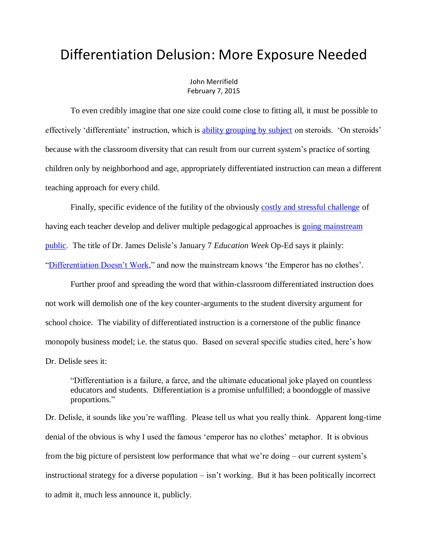## Differentiation Delusion: More Exposure Needed

John Merrifield February 7, 2015

To even credibly imagine that one size could come close to fitting all, it must be possible to effectively 'differentiate' instruction, which is [ability grouping by subject](http://nebula.wsimg.com/44cd90572e3718c3b6b1d90b5de1f11b?AccessKeyId=DA21FC8554A675E9CF7B&disposition=0&alloworigin=1) on steroids. 'On steroids' because with the classroom diversity that can result from our current system's practice of sorting children only by neighborhood and age, appropriately differentiated instruction can mean a different teaching approach for every child.

Finally, specific evidence of the futility of the obviously [costly and stressful challenge](http://edexcellence.net/articles/differentiated-to-death) of having each teacher develop and deliver multiple pedagogical approaches is going mainstream [public.](http://www.edweek.org/ew/articles/2015/01/07/differentiation-doesnt-work.html) The title of Dr. James Delisle's January 7 *Education Week* Op-Ed says it plainly: ["Differentiation Doesn't Work,](http://www.edweek.org/ew/articles/2015/01/07/differentiation-doesnt-work.html)" and now the mainstream knows 'the Emperor has no clothes'.

Further proof and spreading the word that within-classroom differentiated instruction does not work will demolish one of the key counter-arguments to the student diversity argument for school choice. The viability of differentiated instruction is a cornerstone of the public finance monopoly business model; i.e. the status quo. Based on several specific studies cited, here's how Dr. Delisle sees it:

"Differentiation is a failure, a farce, and the ultimate educational joke played on countless educators and students. Differentiation is a promise unfulfilled; a boondoggle of massive proportions."

Dr. Delisle, it sounds like you're waffling. Please tell us what you really think. Apparent long-time denial of the obvious is why I used the famous 'emperor has no clothes' metaphor. It is obvious from the big picture of persistent low performance that what we're doing – our current system's instructional strategy for a diverse population – isn't working. But it has been politically incorrect to admit it, much less announce it, publicly.